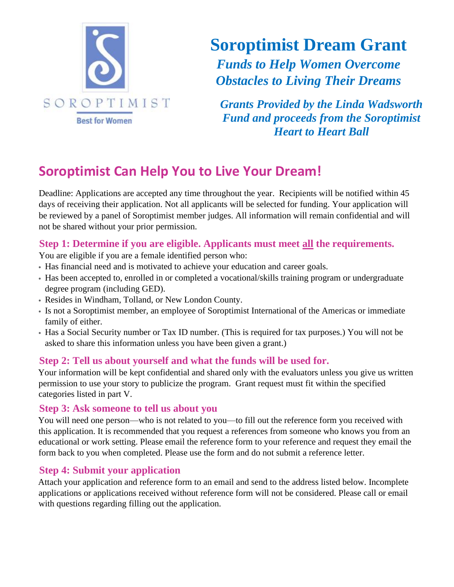

**Soroptimist Dream Grant** *Funds to Help Women Overcome Obstacles to Living Their Dreams*

*Grants Provided by the Linda Wadsworth Fund and proceeds from the Soroptimist Heart to Heart Ball*

# **Soroptimist Can Help You to Live Your Dream!**

Deadline: Applications are accepted any time throughout the year. Recipients will be notified within 45 days of receiving their application. Not all applicants will be selected for funding. Your application will be reviewed by a panel of Soroptimist member judges. All information will remain confidential and will not be shared without your prior permission.

## **Step 1: Determine if you are eligible. Applicants must meet all the requirements.**

You are eligible if you are a female identified person who:

- Has financial need and is motivated to achieve your education and career goals.
- Has been accepted to, enrolled in or completed a vocational/skills training program or undergraduate degree program (including GED).
- Resides in Windham, Tolland, or New London County.
- Is not a Soroptimist member, an employee of Soroptimist International of the Americas or immediate family of either.
- Has a Social Security number or Tax ID number. (This is required for tax purposes.) You will not be asked to share this information unless you have been given a grant.)

## **Step 2: Tell us about yourself and what the funds will be used for.**

Your information will be kept confidential and shared only with the evaluators unless you give us written permission to use your story to publicize the program. Grant request must fit within the specified categories listed in part V.

#### **Step 3: Ask someone to tell us about you**

You will need one person—who is not related to you—to fill out the reference form you received with this application. It is recommended that you request a references from someone who knows you from an educational or work setting. Please email the reference form to your reference and request they email the form back to you when completed. Please use the form and do not submit a reference letter.

## **Step 4: Submit your application**

Attach your application and reference form to an email and send to the address listed below. Incomplete applications or applications received without reference form will not be considered. Please call or email with questions regarding filling out the application.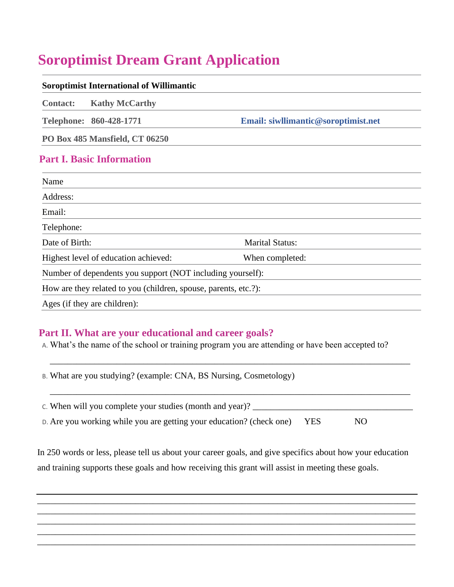# **Soroptimist Dream Grant Application**

| <b>Soroptimist International of Willimantic</b>                 |                                     |  |
|-----------------------------------------------------------------|-------------------------------------|--|
| <b>Kathy McCarthy</b><br><b>Contact:</b>                        |                                     |  |
| Telephone: 860-428-1771                                         | Email: siwllimantic@soroptimist.net |  |
| PO Box 485 Mansfield, CT 06250                                  |                                     |  |
| <b>Part I. Basic Information</b>                                |                                     |  |
| Name                                                            |                                     |  |
| Address:                                                        |                                     |  |
| Email:                                                          |                                     |  |
| Telephone:                                                      |                                     |  |
| Date of Birth:                                                  | <b>Marital Status:</b>              |  |
| Highest level of education achieved:                            | When completed:                     |  |
| Number of dependents you support (NOT including yourself):      |                                     |  |
| How are they related to you (children, spouse, parents, etc.?): |                                     |  |
| Ages (if they are children):                                    |                                     |  |

#### **Part II. What are your educational and career goals?**

A. What's the name of the school or training program you are attending or have been accepted to?

B. What are you studying? (example: CNA, BS Nursing, Cosmetology)

c. When will you complete your studies (month and year)? \_\_\_\_\_\_\_\_\_\_\_\_\_\_\_\_\_\_\_\_\_\_\_

\_\_\_\_\_\_\_\_\_\_\_\_\_\_\_\_\_\_\_\_\_\_\_\_\_\_\_\_\_\_\_\_\_\_\_\_\_\_\_\_\_\_\_\_\_\_\_\_\_\_\_\_\_\_\_\_\_\_\_\_\_\_\_\_\_\_\_\_\_\_\_\_\_\_\_\_\_\_\_\_\_

\_\_\_\_\_\_\_\_\_\_\_\_\_\_\_\_\_\_\_\_\_\_\_\_\_\_\_\_\_\_\_\_\_\_\_\_\_\_\_\_\_\_\_\_\_\_\_\_\_\_\_\_\_\_\_\_\_\_\_\_\_\_\_\_\_\_\_\_\_\_\_\_\_\_\_\_\_\_\_\_\_

D. Are you working while you are getting your education? (check one) YES NO

In 250 words or less, please tell us about your career goals, and give specifics about how your education and training supports these goals and how receiving this grant will assist in meeting these goals.

\_\_\_\_\_\_\_\_\_\_\_\_\_\_\_\_\_\_\_\_\_\_\_\_\_\_\_\_\_\_\_\_\_\_\_\_\_\_\_\_\_\_\_\_\_\_\_\_\_\_\_\_\_\_\_\_\_\_\_\_\_\_\_\_\_\_\_\_\_\_\_\_\_\_\_\_\_\_\_\_\_\_\_\_\_ \_\_\_\_\_\_\_\_\_\_\_\_\_\_\_\_\_\_\_\_\_\_\_\_\_\_\_\_\_\_\_\_\_\_\_\_\_\_\_\_\_\_\_\_\_\_\_\_\_\_\_\_\_\_\_\_\_\_\_\_\_\_\_\_\_\_\_\_\_\_\_\_\_\_\_\_\_\_\_\_\_\_\_\_\_ \_\_\_\_\_\_\_\_\_\_\_\_\_\_\_\_\_\_\_\_\_\_\_\_\_\_\_\_\_\_\_\_\_\_\_\_\_\_\_\_\_\_\_\_\_\_\_\_\_\_\_\_\_\_\_\_\_\_\_\_\_\_\_\_\_\_\_\_\_\_\_\_\_\_\_\_\_\_\_\_\_\_\_\_\_ \_\_\_\_\_\_\_\_\_\_\_\_\_\_\_\_\_\_\_\_\_\_\_\_\_\_\_\_\_\_\_\_\_\_\_\_\_\_\_\_\_\_\_\_\_\_\_\_\_\_\_\_\_\_\_\_\_\_\_\_\_\_\_\_\_\_\_\_\_\_\_\_\_\_\_\_\_\_\_\_\_\_\_\_\_ \_\_\_\_\_\_\_\_\_\_\_\_\_\_\_\_\_\_\_\_\_\_\_\_\_\_\_\_\_\_\_\_\_\_\_\_\_\_\_\_\_\_\_\_\_\_\_\_\_\_\_\_\_\_\_\_\_\_\_\_\_\_\_\_\_\_\_\_\_\_\_\_\_\_\_\_\_\_\_\_\_\_\_\_\_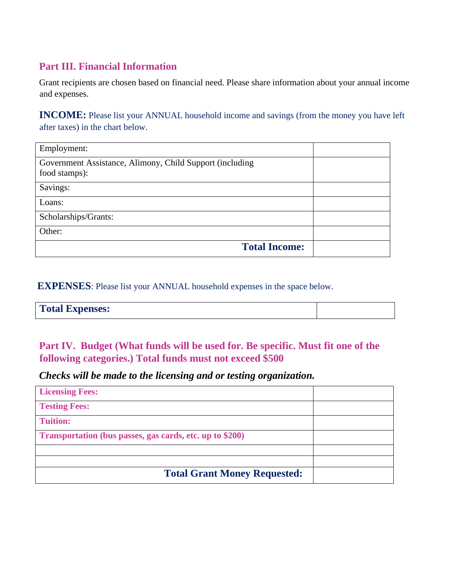# **Part III. Financial Information**

Grant recipients are chosen based on financial need. Please share information about your annual income and expenses.

**INCOME:** Please list your ANNUAL household income and savings (from the money you have left after taxes) in the chart below.

| Employment:                                                               |  |
|---------------------------------------------------------------------------|--|
| Government Assistance, Alimony, Child Support (including<br>food stamps): |  |
| Savings:                                                                  |  |
| Loans:                                                                    |  |
| Scholarships/Grants:                                                      |  |
| Other:                                                                    |  |
| <b>Total Income:</b>                                                      |  |

**EXPENSES**: Please list your ANNUAL household expenses in the space below.

| <b>Total Expenses:</b> |  |
|------------------------|--|
|------------------------|--|

# **Part IV. Budget (What funds will be used for. Be specific. Must fit one of the following categories.) Total funds must not exceed \$500**

*Checks will be made to the licensing and or testing organization.*

| <b>Licensing Fees:</b>                                   |  |
|----------------------------------------------------------|--|
| <b>Testing Fees:</b>                                     |  |
| <b>Tuition:</b>                                          |  |
| Transportation (bus passes, gas cards, etc. up to \$200) |  |
|                                                          |  |
|                                                          |  |
| <b>Total Grant Money Requested:</b>                      |  |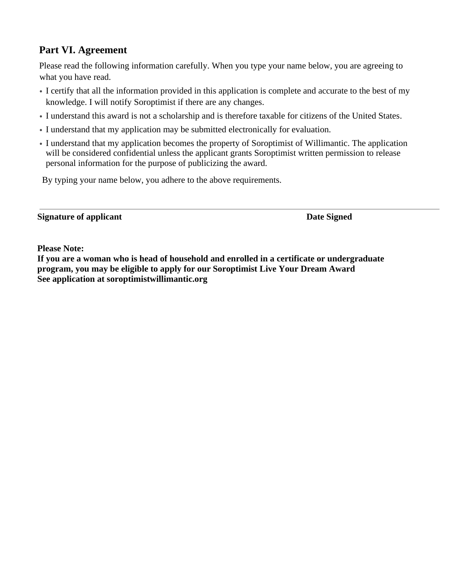# **Part VI. Agreement**

Please read the following information carefully. When you type your name below, you are agreeing to what you have read.

- I certify that all the information provided in this application is complete and accurate to the best of my knowledge. I will notify Soroptimist if there are any changes.
- I understand this award is not a scholarship and is therefore taxable for citizens of the United States.
- I understand that my application may be submitted electronically for evaluation.
- I understand that my application becomes the property of Soroptimist of Willimantic. The application will be considered confidential unless the applicant grants Soroptimist written permission to release personal information for the purpose of publicizing the award.

By typing your name below, you adhere to the above requirements.

#### **Signature of applicant Date Signed**

**Please Note:**

**If you are a woman who is head of household and enrolled in a certificate or undergraduate program, you may be eligible to apply for our Soroptimist Live Your Dream Award See application at soroptimistwillimantic.org**